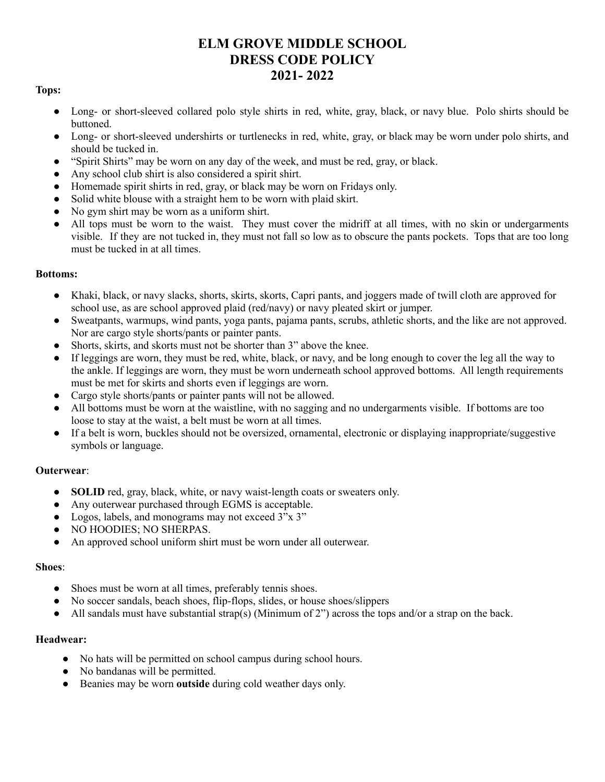# **ELM GROVE MIDDLE SCHOOL DRESS CODE POLICY 2021- 2022**

# **Tops:**

- Long- or short-sleeved collared polo style shirts in red, white, gray, black, or navy blue. Polo shirts should be buttoned.
- Long- or short-sleeved undershirts or turtlenecks in red, white, gray, or black may be worn under polo shirts, and should be tucked in.
- "Spirit Shirts" may be worn on any day of the week, and must be red, gray, or black.
- Any school club shirt is also considered a spirit shirt.
- Homemade spirit shirts in red, gray, or black may be worn on Fridays only.
- Solid white blouse with a straight hem to be worn with plaid skirt.
- No gym shirt may be worn as a uniform shirt.
- All tops must be worn to the waist. They must cover the midriff at all times, with no skin or undergarments visible. If they are not tucked in, they must not fall so low as to obscure the pants pockets. Tops that are too long must be tucked in at all times.

## **Bottoms:**

- Khaki, black, or navy slacks, shorts, skirts, skorts, Capri pants, and joggers made of twill cloth are approved for school use, as are school approved plaid (red/navy) or navy pleated skirt or jumper.
- Sweatpants, warmups, wind pants, yoga pants, pajama pants, scrubs, athletic shorts, and the like are not approved. Nor are cargo style shorts/pants or painter pants.
- Shorts, skirts, and skorts must not be shorter than 3" above the knee.
- If leggings are worn, they must be red, white, black, or navy, and be long enough to cover the leg all the way to the ankle. If leggings are worn, they must be worn underneath school approved bottoms. All length requirements must be met for skirts and shorts even if leggings are worn.
- Cargo style shorts/pants or painter pants will not be allowed.
- All bottoms must be worn at the waistline, with no sagging and no undergarments visible. If bottoms are too loose to stay at the waist, a belt must be worn at all times.
- If a belt is worn, buckles should not be oversized, ornamental, electronic or displaying inappropriate/suggestive symbols or language.

## **Outerwear**:

- **SOLID** red, gray, black, white, or navy waist-length coats or sweaters only.
- Any outerwear purchased through EGMS is acceptable.
- Logos, labels, and monograms may not exceed 3"x 3"
- NO HOODIES; NO SHERPAS.
- An approved school uniform shirt must be worn under all outerwear.

#### **Shoes**:

- Shoes must be worn at all times, preferably tennis shoes.
- No soccer sandals, beach shoes, flip-flops, slides, or house shoes/slippers
- All sandals must have substantial strap(s) (Minimum of 2") across the tops and/or a strap on the back.

#### **Headwear:**

- No hats will be permitted on school campus during school hours.
- No bandanas will be permitted.
- Beanies may be worn **outside** during cold weather days only.